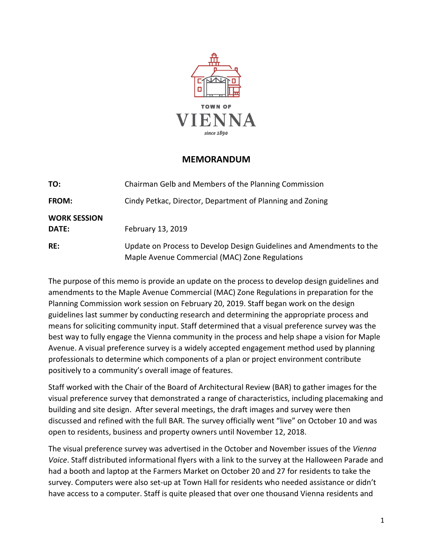

## **MEMORANDUM**

| TO:                          | Chairman Gelb and Members of the Planning Commission                                                                   |
|------------------------------|------------------------------------------------------------------------------------------------------------------------|
| <b>FROM:</b>                 | Cindy Petkac, Director, Department of Planning and Zoning                                                              |
| <b>WORK SESSION</b><br>DATE: | February 13, 2019                                                                                                      |
| RE:                          | Update on Process to Develop Design Guidelines and Amendments to the<br>Maple Avenue Commercial (MAC) Zone Regulations |

The purpose of this memo is provide an update on the process to develop design guidelines and amendments to the Maple Avenue Commercial (MAC) Zone Regulations in preparation for the Planning Commission work session on February 20, 2019. Staff began work on the design guidelines last summer by conducting research and determining the appropriate process and means for soliciting community input. Staff determined that a visual preference survey was the best way to fully engage the Vienna community in the process and help shape a vision for Maple Avenue. A visual preference survey is a widely accepted engagement method used by planning professionals to determine which components of a plan or project environment contribute positively to a community's overall image of features.

Staff worked with the Chair of the Board of Architectural Review (BAR) to gather images for the visual preference survey that demonstrated a range of characteristics, including placemaking and building and site design. After several meetings, the draft images and survey were then discussed and refined with the full BAR. The survey officially went "live" on October 10 and was open to residents, business and property owners until November 12, 2018.

The visual preference survey was advertised in the October and November issues of the *Vienna Voice*. Staff distributed informational flyers with a link to the survey at the Halloween Parade and had a booth and laptop at the Farmers Market on October 20 and 27 for residents to take the survey. Computers were also set-up at Town Hall for residents who needed assistance or didn't have access to a computer. Staff is quite pleased that over one thousand Vienna residents and